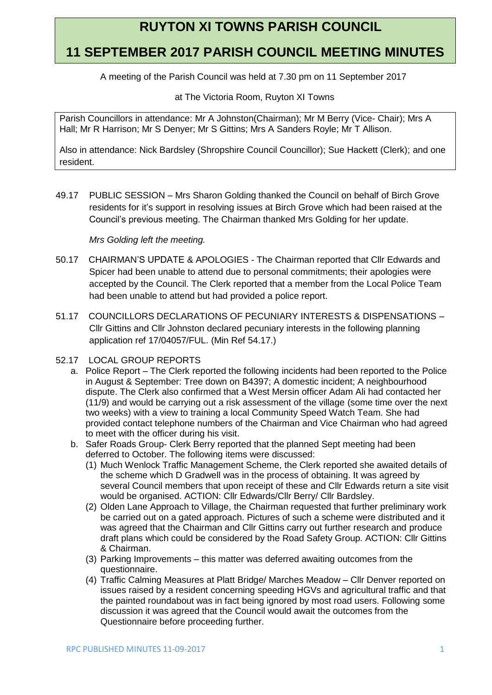# **RUYTON XI TOWNS PARISH COUNCIL**

## **11 SEPTEMBER 2017 PARISH COUNCIL MEETING MINUTES**

A meeting of the Parish Council was held at 7.30 pm on 11 September 2017

at The Victoria Room, Ruyton XI Towns

Parish Councillors in attendance: Mr A Johnston(Chairman); Mr M Berry (Vice- Chair); Mrs A Hall; Mr R Harrison; Mr S Denyer; Mr S Gittins; Mrs A Sanders Royle; Mr T Allison.

Also in attendance: Nick Bardsley (Shropshire Council Councillor); Sue Hackett (Clerk); and one resident.

49.17 PUBLIC SESSION – Mrs Sharon Golding thanked the Council on behalf of Birch Grove residents for it's support in resolving issues at Birch Grove which had been raised at the Council's previous meeting. The Chairman thanked Mrs Golding for her update.

### *Mrs Golding left the meeting.*

- 50.17 CHAIRMAN'S UPDATE & APOLOGIES The Chairman reported that Cllr Edwards and Spicer had been unable to attend due to personal commitments; their apologies were accepted by the Council. The Clerk reported that a member from the Local Police Team had been unable to attend but had provided a police report.
- 51.17 COUNCILLORS DECLARATIONS OF PECUNIARY INTERESTS & DISPENSATIONS Cllr Gittins and Cllr Johnston declared pecuniary interests in the following planning application ref 17/04057/FUL. (Min Ref 54.17.)
- 52.17 LOCAL GROUP REPORTS
	- a. Police Report The Clerk reported the following incidents had been reported to the Police in August & September: Tree down on B4397; A domestic incident; A neighbourhood dispute. The Clerk also confirmed that a West Mersin officer Adam Ali had contacted her (11/9) and would be carrying out a risk assessment of the village (some time over the next two weeks) with a view to training a local Community Speed Watch Team. She had provided contact telephone numbers of the Chairman and Vice Chairman who had agreed to meet with the officer during his visit.
	- b. Safer Roads Group- Clerk Berry reported that the planned Sept meeting had been deferred to October. The following items were discussed:
		- (1) Much Wenlock Traffic Management Scheme, the Clerk reported she awaited details of the scheme which D Gradwell was in the process of obtaining. It was agreed by several Council members that upon receipt of these and Cllr Edwards return a site visit would be organised. ACTION: Cllr Edwards/Cllr Berry/ Cllr Bardsley.
		- (2) Olden Lane Approach to Village, the Chairman requested that further preliminary work be carried out on a gated approach. Pictures of such a scheme were distributed and it was agreed that the Chairman and Cllr Gittins carry out further research and produce draft plans which could be considered by the Road Safety Group. ACTION: Cllr Gittins & Chairman.
		- (3) Parking Improvements this matter was deferred awaiting outcomes from the questionnaire.
		- (4) Traffic Calming Measures at Platt Bridge/ Marches Meadow Cllr Denver reported on issues raised by a resident concerning speeding HGVs and agricultural traffic and that the painted roundabout was in fact being ignored by most road users. Following some discussion it was agreed that the Council would await the outcomes from the Questionnaire before proceeding further.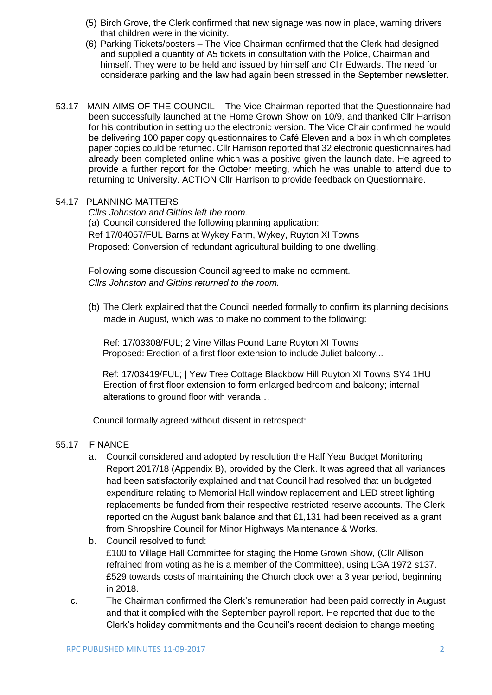- (5) Birch Grove, the Clerk confirmed that new signage was now in place, warning drivers that children were in the vicinity.
- (6) Parking Tickets/posters The Vice Chairman confirmed that the Clerk had designed and supplied a quantity of A5 tickets in consultation with the Police, Chairman and himself. They were to be held and issued by himself and Cllr Edwards. The need for considerate parking and the law had again been stressed in the September newsletter.
- 53.17 MAIN AIMS OF THE COUNCIL The Vice Chairman reported that the Questionnaire had been successfully launched at the Home Grown Show on 10/9, and thanked Cllr Harrison for his contribution in setting up the electronic version. The Vice Chair confirmed he would be delivering 100 paper copy questionnaires to Café Eleven and a box in which completes paper copies could be returned. Cllr Harrison reported that 32 electronic questionnaires had already been completed online which was a positive given the launch date. He agreed to provide a further report for the October meeting, which he was unable to attend due to returning to University. ACTION Cllr Harrison to provide feedback on Questionnaire.

#### 54.17 PLANNING MATTERS

*Cllrs Johnston and Gittins left the room.* (a) Council considered the following planning application: Ref 17/04057/FUL Barns at Wykey Farm, Wykey, Ruyton XI Towns Proposed: Conversion of redundant agricultural building to one dwelling.

Following some discussion Council agreed to make no comment. *Cllrs Johnston and Gittins returned to the room.*

(b) The Clerk explained that the Council needed formally to confirm its planning decisions made in August, which was to make no comment to the following:

Ref: 17/03308/FUL; 2 Vine Villas Pound Lane Ruyton XI Towns Proposed: Erection of a first floor extension to include Juliet balcony...

Ref: 17/03419/FUL; | Yew Tree Cottage Blackbow Hill Ruyton XI Towns SY4 1HU Erection of first floor extension to form enlarged bedroom and balcony; internal alterations to ground floor with veranda…

Council formally agreed without dissent in retrospect:

#### 55.17 FINANCE

- a. Council considered and adopted by resolution the Half Year Budget Monitoring Report 2017/18 (Appendix B), provided by the Clerk. It was agreed that all variances had been satisfactorily explained and that Council had resolved that un budgeted expenditure relating to Memorial Hall window replacement and LED street lighting replacements be funded from their respective restricted reserve accounts. The Clerk reported on the August bank balance and that £1,131 had been received as a grant from Shropshire Council for Minor Highways Maintenance & Works.
- b. Council resolved to fund: £100 to Village Hall Committee for staging the Home Grown Show, (Cllr Allison refrained from voting as he is a member of the Committee), using LGA 1972 s137. £529 towards costs of maintaining the Church clock over a 3 year period, beginning in 2018.
- c. The Chairman confirmed the Clerk's remuneration had been paid correctly in August and that it complied with the September payroll report. He reported that due to the Clerk's holiday commitments and the Council's recent decision to change meeting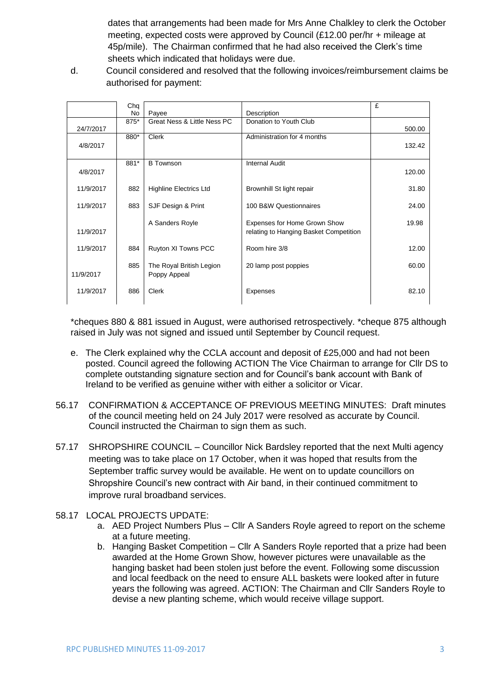dates that arrangements had been made for Mrs Anne Chalkley to clerk the October meeting, expected costs were approved by Council (£12.00 per/hr + mileage at 45p/mile). The Chairman confirmed that he had also received the Clerk's time sheets which indicated that holidays were due.

d. Council considered and resolved that the following invoices/reimbursement claims be authorised for payment:

|           | Chq  |                               |                                        | £      |
|-----------|------|-------------------------------|----------------------------------------|--------|
|           | No   | Payee                         | Description                            |        |
|           | 875* | Great Ness & Little Ness PC   | Donation to Youth Club                 |        |
| 24/7/2017 |      |                               |                                        | 500.00 |
|           | 880* | <b>Clerk</b>                  | Administration for 4 months            |        |
| 4/8/2017  |      |                               |                                        | 132.42 |
|           |      |                               |                                        |        |
|           | 881* | <b>B</b> Townson              | <b>Internal Audit</b>                  |        |
| 4/8/2017  |      |                               |                                        | 120.00 |
|           |      |                               |                                        |        |
| 11/9/2017 | 882  | <b>Highline Electrics Ltd</b> | Brownhill St light repair              | 31.80  |
|           |      |                               |                                        |        |
| 11/9/2017 | 883  | SJF Design & Print            | 100 B&W Questionnaires                 | 24.00  |
|           |      |                               |                                        |        |
|           |      | A Sanders Royle               | Expenses for Home Grown Show           | 19.98  |
| 11/9/2017 |      |                               | relating to Hanging Basket Competition |        |
|           |      |                               |                                        |        |
| 11/9/2017 | 884  | Ruyton XI Towns PCC           | Room hire 3/8                          | 12.00  |
|           |      |                               |                                        |        |
|           | 885  | The Royal British Legion      | 20 lamp post poppies                   | 60.00  |
| 11/9/2017 |      |                               |                                        |        |
|           |      | Poppy Appeal                  |                                        |        |
|           |      |                               |                                        |        |
| 11/9/2017 | 886  | <b>Clerk</b>                  | Expenses                               | 82.10  |
|           |      |                               |                                        |        |

\*cheques 880 & 881 issued in August, were authorised retrospectively. \*cheque 875 although raised in July was not signed and issued until September by Council request.

- e. The Clerk explained why the CCLA account and deposit of £25,000 and had not been posted. Council agreed the following ACTION The Vice Chairman to arrange for Cllr DS to complete outstanding signature section and for Council's bank account with Bank of Ireland to be verified as genuine wither with either a solicitor or Vicar.
- 56.17 CONFIRMATION & ACCEPTANCE OF PREVIOUS MEETING MINUTES: Draft minutes of the council meeting held on 24 July 2017 were resolved as accurate by Council. Council instructed the Chairman to sign them as such.
- 57.17 SHROPSHIRE COUNCIL Councillor Nick Bardsley reported that the next Multi agency meeting was to take place on 17 October, when it was hoped that results from the September traffic survey would be available. He went on to update councillors on Shropshire Council's new contract with Air band, in their continued commitment to improve rural broadband services.
- 58.17 LOCAL PROJECTS UPDATE:
	- a. AED Project Numbers Plus Cllr A Sanders Royle agreed to report on the scheme at a future meeting.
	- b. Hanging Basket Competition Cllr A Sanders Royle reported that a prize had been awarded at the Home Grown Show, however pictures were unavailable as the hanging basket had been stolen just before the event. Following some discussion and local feedback on the need to ensure ALL baskets were looked after in future years the following was agreed. ACTION: The Chairman and Cllr Sanders Royle to devise a new planting scheme, which would receive village support.